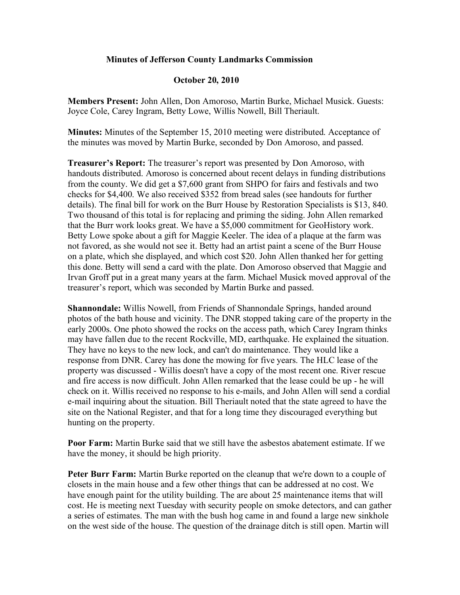## **Minutes of Jefferson County Landmarks Commission**

## **October 20, 2010**

**Members Present:** John Allen, Don Amoroso, Martin Burke, Michael Musick. Guests: Joyce Cole, Carey Ingram, Betty Lowe, Willis Nowell, Bill Theriault.

**Minutes:** Minutes of the September 15, 2010 meeting were distributed. Acceptance of the minutes was moved by Martin Burke, seconded by Don Amoroso, and passed.

**Treasurer's Report:** The treasurer's report was presented by Don Amoroso, with handouts distributed. Amoroso is concerned about recent delays in funding distributions from the county. We did get a \$7,600 grant from SHPO for fairs and festivals and two checks for \$4,400. We also received \$352 from bread sales (see handouts for further details). The final bill for work on the Burr House by Restoration Specialists is \$13, 840. Two thousand of this total is for replacing and priming the siding. John Allen remarked that the Burr work looks great. We have a \$5,000 commitment for GeoHistory work. Betty Lowe spoke about a gift for Maggie Keeler. The idea of a plaque at the farm was not favored, as she would not see it. Betty had an artist paint a scene of the Burr House on a plate, which she displayed, and which cost \$20. John Allen thanked her for getting this done. Betty will send a card with the plate. Don Amoroso observed that Maggie and Irvan Groff put in a great many years at the farm. Michael Musick moved approval of the treasurer's report, which was seconded by Martin Burke and passed.

**Shannondale:** Willis Nowell, from Friends of Shannondale Springs, handed around photos of the bath house and vicinity. The DNR stopped taking care of the property in the early 2000s. One photo showed the rocks on the access path, which Carey Ingram thinks may have fallen due to the recent Rockville, MD, earthquake. He explained the situation. They have no keys to the new lock, and can't do maintenance. They would like a response from DNR. Carey has done the mowing for five years. The HLC lease of the property was discussed - Willis doesn't have a copy of the most recent one. River rescue and fire access is now difficult. John Allen remarked that the lease could be up - he will check on it. Willis received no response to his e-mails, and John Allen will send a cordial e-mail inquiring about the situation. Bill Theriault noted that the state agreed to have the site on the National Register, and that for a long time they discouraged everything but hunting on the property.

**Poor Farm:** Martin Burke said that we still have the asbestos abatement estimate. If we have the money, it should be high priority.

**Peter Burr Farm:** Martin Burke reported on the cleanup that we're down to a couple of closets in the main house and a few other things that can be addressed at no cost. We have enough paint for the utility building. The are about 25 maintenance items that will cost. He is meeting next Tuesday with security people on smoke detectors, and can gather a series of estimates. The man with the bush hog came in and found a large new sinkhole on the west side of the house. The question of the drainage ditch is still open. Martin will